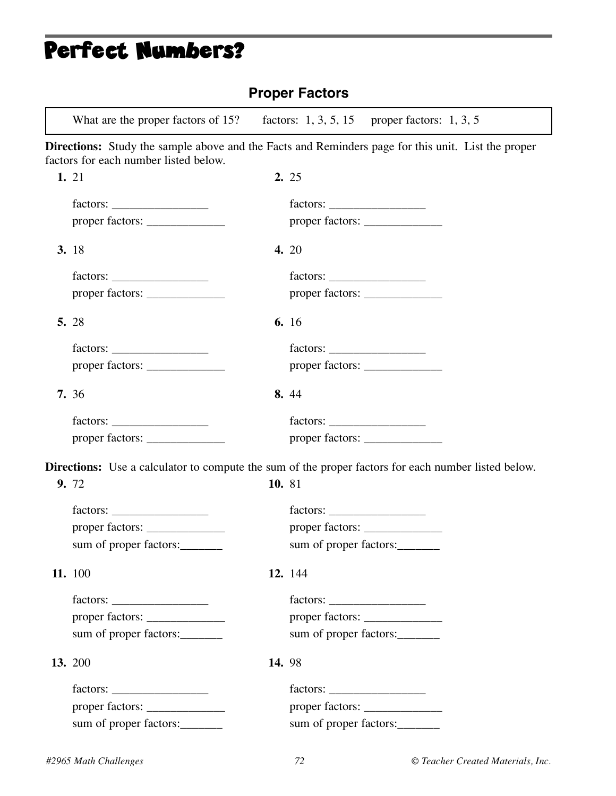# Perfect Numbers?

| <b>Proper Factors</b>                                                                                                                              |               |          |                                                  |  |  |  |
|----------------------------------------------------------------------------------------------------------------------------------------------------|---------------|----------|--------------------------------------------------|--|--|--|
| What are the proper factors of 15?                                                                                                                 |               |          | factors: $1, 3, 5, 15$ proper factors: $1, 3, 5$ |  |  |  |
| <b>Directions:</b> Study the sample above and the Facts and Reminders page for this unit. List the proper<br>factors for each number listed below. |               |          |                                                  |  |  |  |
| 1. 21                                                                                                                                              |               | 2.25     |                                                  |  |  |  |
|                                                                                                                                                    |               |          |                                                  |  |  |  |
|                                                                                                                                                    |               |          | proper factors:                                  |  |  |  |
| 3. 18                                                                                                                                              |               | 4. 20    |                                                  |  |  |  |
|                                                                                                                                                    |               |          |                                                  |  |  |  |
|                                                                                                                                                    |               |          |                                                  |  |  |  |
| 5. 28                                                                                                                                              |               | 6. 16    |                                                  |  |  |  |
|                                                                                                                                                    |               | factors: |                                                  |  |  |  |
|                                                                                                                                                    |               |          |                                                  |  |  |  |
| 7. 36                                                                                                                                              |               | 8.44     |                                                  |  |  |  |
|                                                                                                                                                    |               |          |                                                  |  |  |  |
| proper factors:                                                                                                                                    |               |          |                                                  |  |  |  |
| <b>Directions:</b> Use a calculator to compute the sum of the proper factors for each number listed below.                                         |               |          |                                                  |  |  |  |
| 9. 72                                                                                                                                              | 10.81         |          |                                                  |  |  |  |
|                                                                                                                                                    |               |          |                                                  |  |  |  |
| proper factors:                                                                                                                                    |               |          |                                                  |  |  |  |
| sum of proper factors:                                                                                                                             |               |          | sum of proper factors:                           |  |  |  |
| 11. 100                                                                                                                                            |               | 12. 144  |                                                  |  |  |  |
|                                                                                                                                                    |               |          |                                                  |  |  |  |
|                                                                                                                                                    |               |          |                                                  |  |  |  |
| sum of proper factors:                                                                                                                             |               |          | sum of proper factors:                           |  |  |  |
| 13. 200                                                                                                                                            | <b>14.</b> 98 |          |                                                  |  |  |  |
|                                                                                                                                                    |               |          |                                                  |  |  |  |
|                                                                                                                                                    |               |          |                                                  |  |  |  |
| sum of proper factors:                                                                                                                             |               |          | sum of proper factors:                           |  |  |  |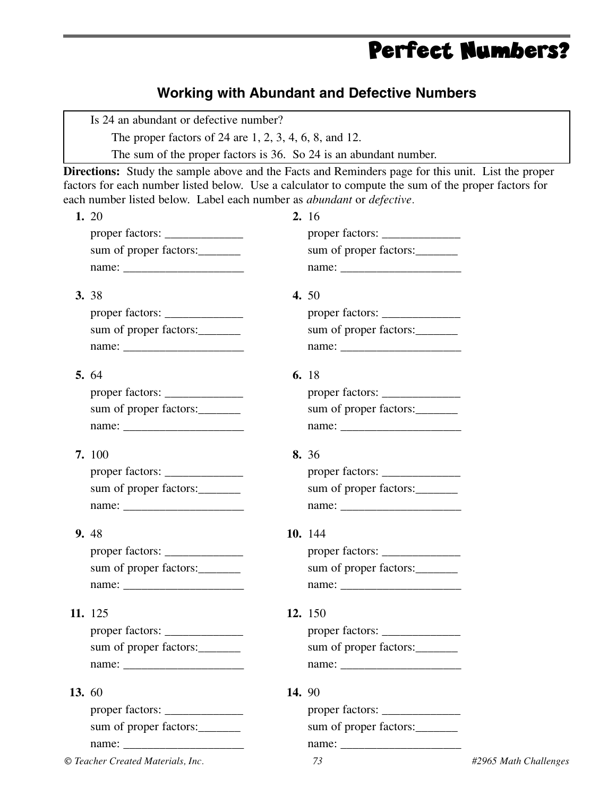### Perfect Numbers?

#### **Working with Abundant and Defective Numbers**

Is 24 an abundant or defective number?

The proper factors of 24 are 1, 2, 3, 4, 6, 8, and 12.

The sum of the proper factors is 36. So 24 is an abundant number.

**Directions:** Study the sample above and the Facts and Reminders page for this unit. List the proper factors for each number listed below. Use a calculator to compute the sum of the proper factors for each number listed below. Label each number as *abundant* or *defective.*

|       | 1. 20                  | 2. 16 |                        |  |
|-------|------------------------|-------|------------------------|--|
|       | proper factors:        |       |                        |  |
|       | sum of proper factors: |       | sum of proper factors: |  |
|       |                        |       |                        |  |
|       | 3. 38                  |       | 4. 50                  |  |
|       | proper factors:        |       | proper factors:        |  |
|       | sum of proper factors: |       | sum of proper factors: |  |
|       |                        |       |                        |  |
|       | 5.64                   |       | 6. 18                  |  |
|       |                        |       |                        |  |
|       | sum of proper factors: |       | sum of proper factors: |  |
|       |                        |       |                        |  |
|       | 7.100                  |       | 8. 36                  |  |
|       | proper factors:        |       |                        |  |
|       | sum of proper factors: |       | sum of proper factors: |  |
|       |                        |       |                        |  |
|       | 9. 48                  |       | 10. 144                |  |
|       | proper factors:        |       |                        |  |
|       | sum of proper factors: |       | sum of proper factors: |  |
|       |                        |       |                        |  |
|       | 11. 125                |       | 12. 150                |  |
|       | proper factors:        |       | proper factors:        |  |
|       | sum of proper factors: |       | sum of proper factors: |  |
|       |                        |       |                        |  |
| 13.60 |                        | 14.90 |                        |  |
|       |                        |       |                        |  |
|       | sum of proper factors: |       | sum of proper factors: |  |
|       | name:                  |       | name:                  |  |
|       |                        |       |                        |  |

*© Teacher Created Materials, Inc. 73 #2965 Math Challenges*